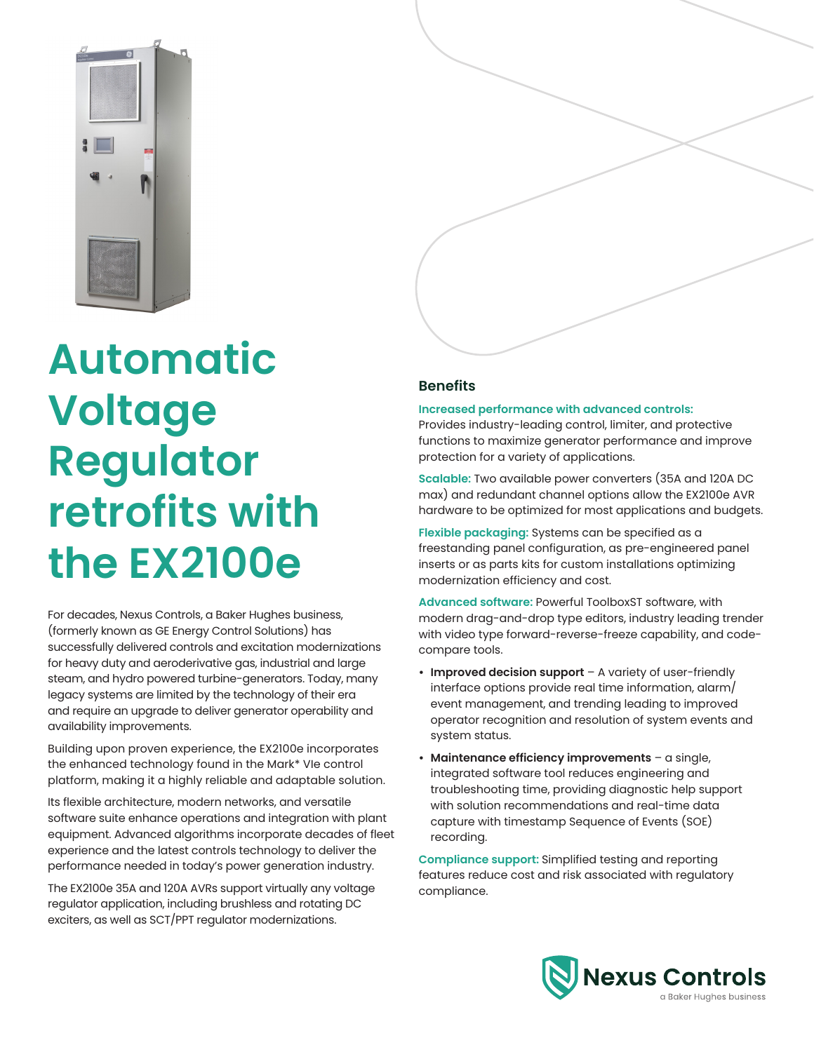

# **Automatic Voltage Regulator retrofits with the EX2100e**

For decades, Nexus Controls, a Baker Hughes business, (formerly known as GE Energy Control Solutions) has successfully delivered controls and excitation modernizations for heavy duty and aeroderivative gas, industrial and large steam, and hydro powered turbine-generators. Today, many legacy systems are limited by the technology of their era and require an upgrade to deliver generator operability and availability improvements.

Building upon proven experience, the EX2100e incorporates the enhanced technology found in the Mark\* VIe control platform, making it a highly reliable and adaptable solution.

Its flexible architecture, modern networks, and versatile software suite enhance operations and integration with plant equipment. Advanced algorithms incorporate decades of fleet experience and the latest controls technology to deliver the performance needed in today's power generation industry.

The EX2100e 35A and 120A AVRs support virtually any voltage regulator application, including brushless and rotating DC exciters, as well as SCT/PPT regulator modernizations.

## **Benefits**

#### **Increased performance with advanced controls:**

Provides industry-leading control, limiter, and protective functions to maximize generator performance and improve protection for a variety of applications.

**Scalable:** Two available power converters (35A and 120A DC max) and redundant channel options allow the EX2100e AVR hardware to be optimized for most applications and budgets.

**Flexible packaging:** Systems can be specified as a freestanding panel configuration, as pre-engineered panel inserts or as parts kits for custom installations optimizing modernization efficiency and cost.

**Advanced software:** Powerful ToolboxST software, with modern drag-and-drop type editors, industry leading trender with video type forward-reverse-freeze capability, and codecompare tools.

- **• Improved decision support** A variety of user-friendly interface options provide real time information, alarm/ event management, and trending leading to improved operator recognition and resolution of system events and system status.
- **• Maintenance efficiency improvements** a single, integrated software tool reduces engineering and troubleshooting time, providing diagnostic help support with solution recommendations and real-time data capture with timestamp Sequence of Events (SOE) recording.

**Compliance support:** Simplified testing and reporting features reduce cost and risk associated with regulatory compliance.